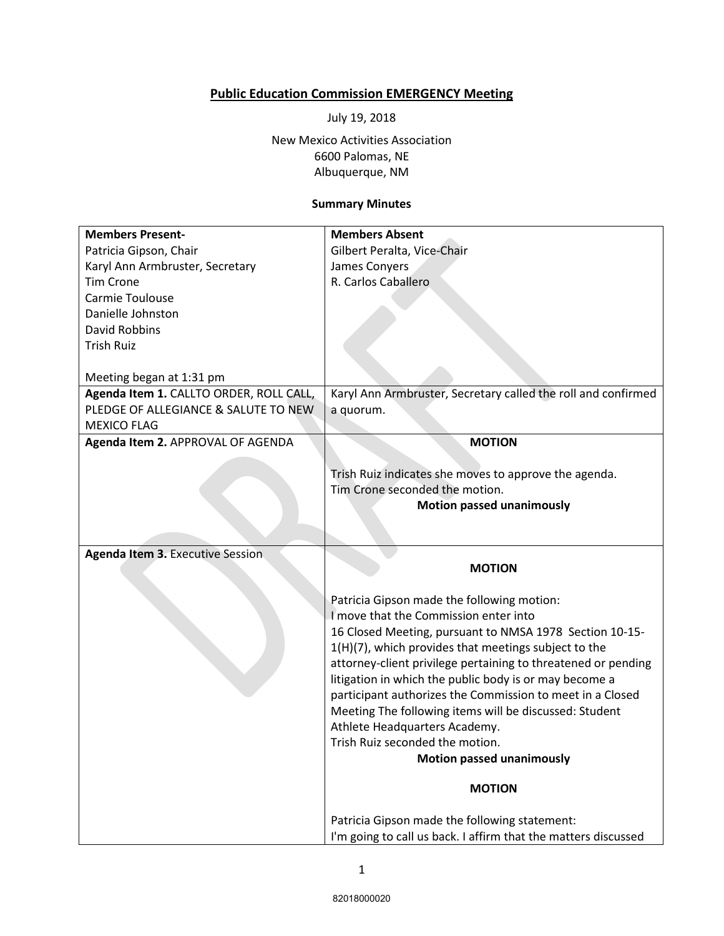## **Public Education Commission EMERGENCY Meeting**

July 19, 2018

New Mexico Activities Association 6600 Palomas, NE Albuquerque, NM

## **Summary Minutes**

| <b>Members Present-</b>                 | <b>Members Absent</b>                                          |
|-----------------------------------------|----------------------------------------------------------------|
|                                         |                                                                |
| Patricia Gipson, Chair                  | Gilbert Peralta, Vice-Chair                                    |
| Karyl Ann Armbruster, Secretary         | James Conyers                                                  |
| <b>Tim Crone</b>                        | R. Carlos Caballero                                            |
| Carmie Toulouse                         |                                                                |
| Danielle Johnston                       |                                                                |
| David Robbins                           |                                                                |
| <b>Trish Ruiz</b>                       |                                                                |
|                                         |                                                                |
| Meeting began at 1:31 pm                |                                                                |
| Agenda Item 1. CALLTO ORDER, ROLL CALL, | Karyl Ann Armbruster, Secretary called the roll and confirmed  |
| PLEDGE OF ALLEGIANCE & SALUTE TO NEW    | a quorum.                                                      |
| <b>MEXICO FLAG</b>                      |                                                                |
| Agenda Item 2. APPROVAL OF AGENDA       | <b>MOTION</b>                                                  |
|                                         |                                                                |
|                                         | Trish Ruiz indicates she moves to approve the agenda.          |
|                                         | Tim Crone seconded the motion.                                 |
|                                         | <b>Motion passed unanimously</b>                               |
|                                         |                                                                |
|                                         |                                                                |
| <b>Agenda Item 3. Executive Session</b> |                                                                |
|                                         | <b>MOTION</b>                                                  |
|                                         |                                                                |
|                                         | Patricia Gipson made the following motion:                     |
|                                         | I move that the Commission enter into                          |
|                                         | 16 Closed Meeting, pursuant to NMSA 1978 Section 10-15-        |
|                                         | 1(H)(7), which provides that meetings subject to the           |
|                                         | attorney-client privilege pertaining to threatened or pending  |
|                                         | litigation in which the public body is or may become a         |
|                                         | participant authorizes the Commission to meet in a Closed      |
|                                         | Meeting The following items will be discussed: Student         |
|                                         | Athlete Headquarters Academy.                                  |
|                                         | Trish Ruiz seconded the motion.                                |
|                                         | <b>Motion passed unanimously</b>                               |
|                                         |                                                                |
|                                         | <b>MOTION</b>                                                  |
|                                         | Patricia Gipson made the following statement:                  |
|                                         | I'm going to call us back. I affirm that the matters discussed |